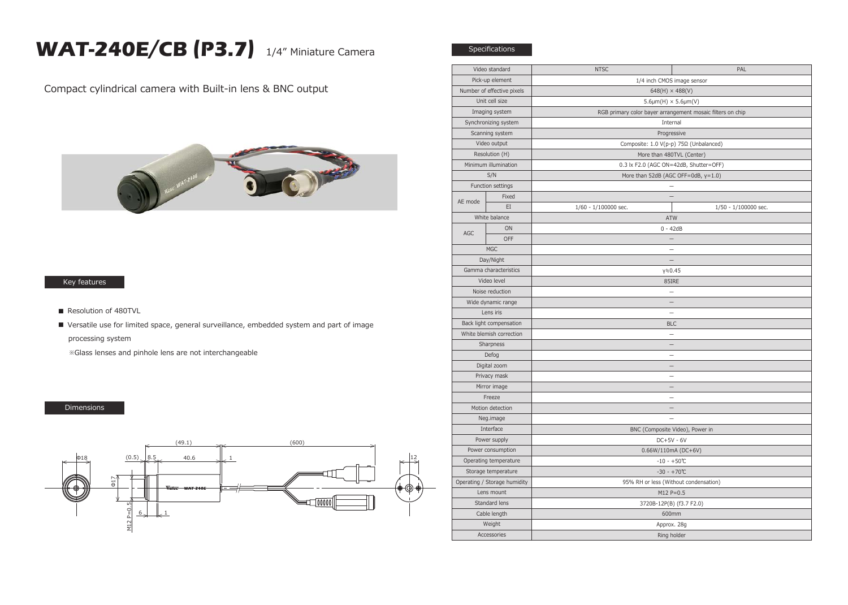## **WAT-240E/CB (P3.7)** 1/4" Miniature Camera

Specifications

Compact cylindrical camera with Built-in lens & BNC output



## Key features

- Resolution of 480TVL
- Versatile use for limited space, general surveillance, embedded system and part of image processing system

※Glass lenses and pinhole lens are not interchangeable

## Dimensions



| Video standard               |       | <b>NTSC</b>                                                | PAL                  |
|------------------------------|-------|------------------------------------------------------------|----------------------|
| Pick-up element              |       | 1/4 inch CMOS image sensor                                 |                      |
| Number of effective pixels   |       | $648(H) \times 488(V)$                                     |                      |
| Unit cell size               |       | $5.6 \mu m(H) \times 5.6 \mu m(V)$                         |                      |
| Imaging system               |       | RGB primary color bayer arrangement mosaic filters on chip |                      |
| Synchronizing system         |       | Internal                                                   |                      |
| Scanning system              |       | Progressive                                                |                      |
| Video output                 |       | Composite: 1.0 V(p-p) 75Ω (Unbalanced)                     |                      |
| Resolution (H)               |       | More than 480TVL (Center)                                  |                      |
| Minimum illumination         |       | 0.3 lx F2.0 (AGC ON=42dB, Shutter=OFF)                     |                      |
| S/N                          |       | More than 52dB (AGC OFF=0dB, y=1.0)                        |                      |
| Function settings            |       |                                                            |                      |
| AE mode                      | Fixed | $\overline{\phantom{a}}$                                   |                      |
|                              | EI    | 1/60 - 1/100000 sec.                                       | 1/50 - 1/100000 sec. |
| White balance                |       | <b>ATW</b>                                                 |                      |
| AGC                          | ON    | $0 - 42dB$                                                 |                      |
|                              | OFF   | $\qquad \qquad -$                                          |                      |
| MGC                          |       | $\equiv$                                                   |                      |
| Day/Night                    |       | $\overline{\phantom{0}}$                                   |                      |
| Gamma characteristics        |       | γ≒0.45                                                     |                      |
| Video level                  |       | 85IRE                                                      |                      |
| Noise reduction              |       | $\equiv$                                                   |                      |
| Wide dynamic range           |       |                                                            |                      |
| Lens iris                    |       | $\overline{\phantom{0}}$                                   |                      |
| Back light compensation      |       | <b>BLC</b>                                                 |                      |
| White blemish correction     |       | $\equiv$                                                   |                      |
| Sharpness                    |       |                                                            |                      |
| Defog                        |       |                                                            |                      |
| Digital zoom                 |       | $\overline{\phantom{0}}$                                   |                      |
| Privacy mask                 |       |                                                            |                      |
| Mirror image                 |       | $\qquad \qquad -$                                          |                      |
| Freeze                       |       | $\equiv$                                                   |                      |
| Motion detection             |       |                                                            |                      |
| Neg.image                    |       |                                                            |                      |
| Interface                    |       | BNC (Composite Video), Power in                            |                      |
| Power supply                 |       | $DC+5V - 6V$                                               |                      |
| Power consumption            |       | $0.66W/110mA (DC+6V)$                                      |                      |
| Operating temperature        |       | $-10 - +50$ °C                                             |                      |
| Storage temperature          |       | $-30 - +70$ °C                                             |                      |
| Operating / Storage humidity |       | 95% RH or less (Without condensation)                      |                      |
| Lens mount                   |       | $M12 P = 0.5$                                              |                      |
| Standard lens                |       | 3720B-12P(B) (f3.7 F2.0)                                   |                      |
| Cable length                 |       | 600mm                                                      |                      |
| Weight                       |       | Approx. 28g                                                |                      |
| Accessories                  |       | Ring holder                                                |                      |
|                              |       |                                                            |                      |